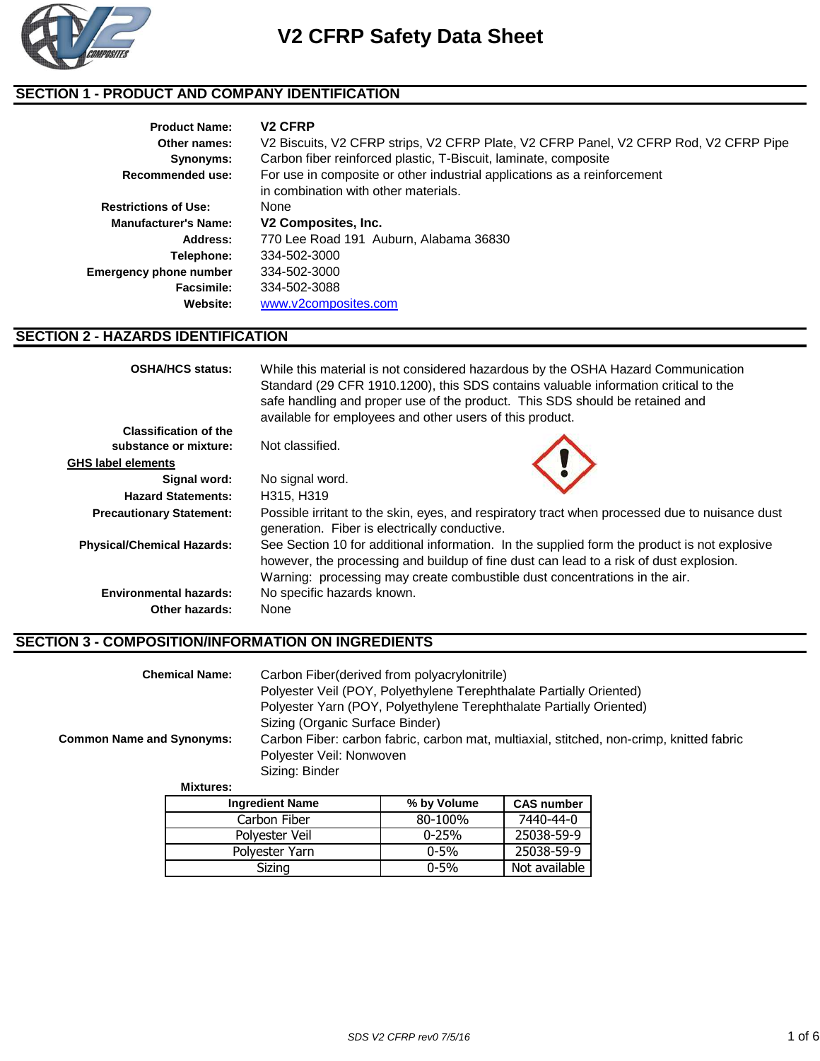

## **SECTION 1 - PRODUCT AND COMPANY IDENTIFICATION**

| <b>Product Name:</b>          | <b>V<sub>2</sub> CFRP</b>                                                            |
|-------------------------------|--------------------------------------------------------------------------------------|
| Other names:                  | V2 Biscuits, V2 CFRP strips, V2 CFRP Plate, V2 CFRP Panel, V2 CFRP Rod, V2 CFRP Pipe |
| Synonyms:                     | Carbon fiber reinforced plastic, T-Biscuit, laminate, composite                      |
| <b>Recommended use:</b>       | For use in composite or other industrial applications as a reinforcement             |
|                               | in combination with other materials.                                                 |
| <b>Restrictions of Use:</b>   | None                                                                                 |
| <b>Manufacturer's Name:</b>   | V2 Composites, Inc.                                                                  |
| Address:                      | 770 Lee Road 191 Auburn, Alabama 36830                                               |
| Telephone:                    | 334-502-3000                                                                         |
| <b>Emergency phone number</b> | 334-502-3000                                                                         |
| Facsimile:                    | 334-502-3088                                                                         |
| Website:                      | www.v2composites.com                                                                 |

#### **SECTION 2 - HAZARDS IDENTIFICATION**

| <b>OSHA/HCS status:</b>           | While this material is not considered hazardous by the OSHA Hazard Communication<br>Standard (29 CFR 1910.1200), this SDS contains valuable information critical to the<br>safe handling and proper use of the product. This SDS should be retained and<br>available for employees and other users of this product. |
|-----------------------------------|---------------------------------------------------------------------------------------------------------------------------------------------------------------------------------------------------------------------------------------------------------------------------------------------------------------------|
| <b>Classification of the</b>      |                                                                                                                                                                                                                                                                                                                     |
| substance or mixture:             | Not classified.                                                                                                                                                                                                                                                                                                     |
| GHS label elements                |                                                                                                                                                                                                                                                                                                                     |
| Signal word:                      | No signal word.                                                                                                                                                                                                                                                                                                     |
| <b>Hazard Statements:</b>         | H315, H319                                                                                                                                                                                                                                                                                                          |
| <b>Precautionary Statement:</b>   | Possible irritant to the skin, eyes, and respiratory tract when processed due to nuisance dust<br>generation. Fiber is electrically conductive.                                                                                                                                                                     |
| <b>Physical/Chemical Hazards:</b> | See Section 10 for additional information. In the supplied form the product is not explosive<br>however, the processing and buildup of fine dust can lead to a risk of dust explosion.<br>Warning: processing may create combustible dust concentrations in the air.                                                |
| <b>Environmental hazards:</b>     | No specific hazards known.                                                                                                                                                                                                                                                                                          |
| Other hazards:                    | None                                                                                                                                                                                                                                                                                                                |

### **SECTION 3 - COMPOSITION/INFORMATION ON INGREDIENTS**

|                                  | <b>Chemical Name:</b>  | Carbon Fiber (derived from polyacrylonitrile)<br>Polyester Veil (POY, Polyethylene Terephthalate Partially Oriented) |             |                   |  |
|----------------------------------|------------------------|----------------------------------------------------------------------------------------------------------------------|-------------|-------------------|--|
|                                  |                        | Polyester Yarn (POY, Polyethylene Terephthalate Partially Oriented)                                                  |             |                   |  |
|                                  |                        | Sizing (Organic Surface Binder)                                                                                      |             |                   |  |
| <b>Common Name and Synonyms:</b> |                        | Carbon Fiber: carbon fabric, carbon mat, multiaxial, stitched, non-crimp, knitted fabric                             |             |                   |  |
|                                  |                        | Polyester Veil: Nonwoven                                                                                             |             |                   |  |
|                                  |                        | Sizing: Binder                                                                                                       |             |                   |  |
|                                  | <b>Mixtures:</b>       |                                                                                                                      |             |                   |  |
|                                  | <b>Ingredient Name</b> |                                                                                                                      | % by Volume | <b>CAS number</b> |  |

| <b>Ingredient Name</b> | % by Volume | <b>CAS number</b> |
|------------------------|-------------|-------------------|
| Carbon Fiber           | 80-100%     | 7440-44-0         |
| Polyester Veil         | $0 - 25%$   | 25038-59-9        |
| Polvester Yarn         | $0 - 5\%$   | 25038-59-9        |
| Sizing                 | $0 - 5%$    | Not available     |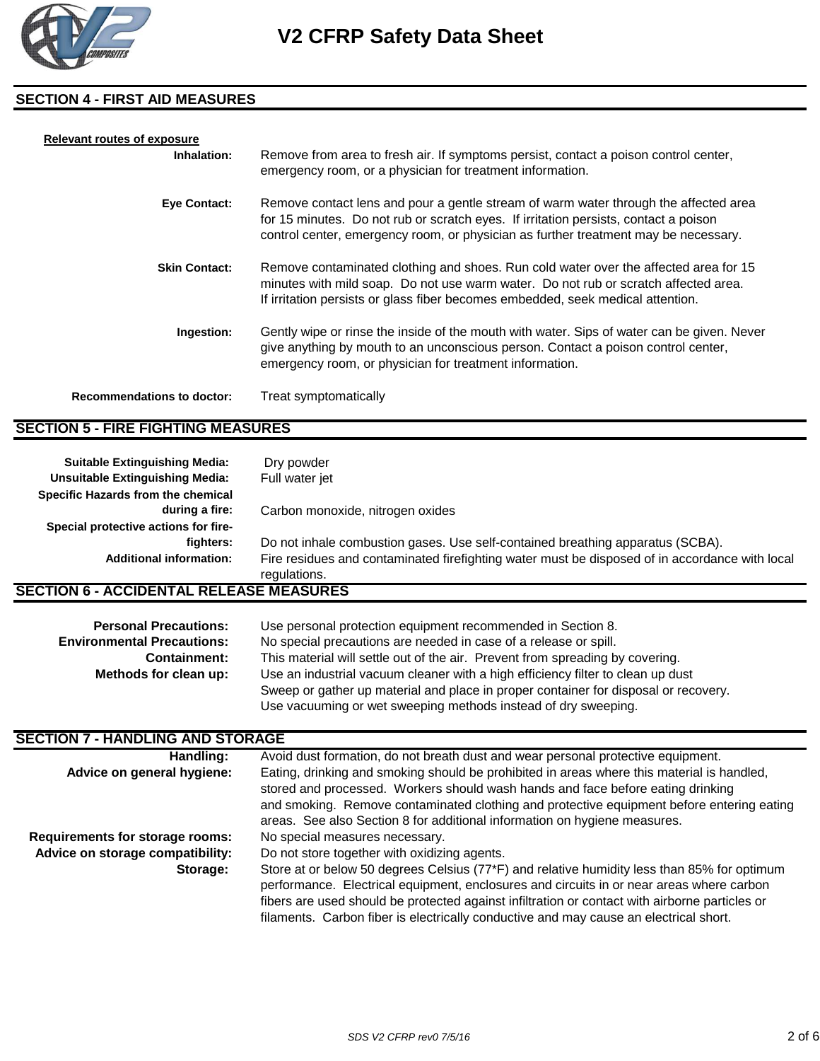

#### **SECTION 4 - FIRST AID MEASURES**

| <b>Relevant routes of exposure</b> |                                                                                                                                                                                                                                                                     |
|------------------------------------|---------------------------------------------------------------------------------------------------------------------------------------------------------------------------------------------------------------------------------------------------------------------|
| Inhalation:                        | Remove from area to fresh air. If symptoms persist, contact a poison control center,<br>emergency room, or a physician for treatment information.                                                                                                                   |
| Eye Contact:                       | Remove contact lens and pour a gentle stream of warm water through the affected area<br>for 15 minutes. Do not rub or scratch eyes. If irritation persists, contact a poison<br>control center, emergency room, or physician as further treatment may be necessary. |
| <b>Skin Contact:</b>               | Remove contaminated clothing and shoes. Run cold water over the affected area for 15<br>minutes with mild soap. Do not use warm water. Do not rub or scratch affected area.<br>If irritation persists or glass fiber becomes embedded, seek medical attention.      |
| Ingestion:                         | Gently wipe or rinse the inside of the mouth with water. Sips of water can be given. Never<br>give anything by mouth to an unconscious person. Contact a poison control center,<br>emergency room, or physician for treatment information.                          |
| <b>Recommendations to doctor:</b>  | Treat symptomatically                                                                                                                                                                                                                                               |

#### **SECTION 5 - FIRE FIGHTING MEASURES**

| <b>Suitable Extinguishing Media:</b><br><b>Unsuitable Extinguishing Media:</b> | Dry powder<br>Full water jet                                                                                   |
|--------------------------------------------------------------------------------|----------------------------------------------------------------------------------------------------------------|
| Specific Hazards from the chemical                                             |                                                                                                                |
| during a fire:                                                                 | Carbon monoxide, nitrogen oxides                                                                               |
| Special protective actions for fire-                                           |                                                                                                                |
| fighters:                                                                      | Do not inhale combustion gases. Use self-contained breathing apparatus (SCBA).                                 |
| <b>Additional information:</b>                                                 | Fire residues and contaminated firefighting water must be disposed of in accordance with local<br>regulations. |
| <b>SECTION 6 - ACCIDENTAL RELEASE MEASURES</b>                                 |                                                                                                                |

| <b>Personal Precautions:</b>      | Use personal protection equipment recommended in Section 8.                         |  |
|-----------------------------------|-------------------------------------------------------------------------------------|--|
| <b>Environmental Precautions:</b> | No special precautions are needed in case of a release or spill.                    |  |
| <b>Containment:</b>               | This material will settle out of the air. Prevent from spreading by covering.       |  |
| Methods for clean up:             | Use an industrial vacuum cleaner with a high efficiency filter to clean up dust     |  |
|                                   | Sweep or gather up material and place in proper container for disposal or recovery. |  |
|                                   | Use vacuuming or wet sweeping methods instead of dry sweeping.                      |  |

## **SECTION 7 - HANDLING AND STORAGE**

| Handling:                              | Avoid dust formation, do not breath dust and wear personal protective equipment.               |
|----------------------------------------|------------------------------------------------------------------------------------------------|
| Advice on general hygiene:             | Eating, drinking and smoking should be prohibited in areas where this material is handled,     |
|                                        | stored and processed. Workers should wash hands and face before eating drinking                |
|                                        | and smoking. Remove contaminated clothing and protective equipment before entering eating      |
|                                        | areas. See also Section 8 for additional information on hygiene measures.                      |
| <b>Requirements for storage rooms:</b> | No special measures necessary.                                                                 |
| Advice on storage compatibility:       | Do not store together with oxidizing agents.                                                   |
| Storage:                               | Store at or below 50 degrees Celsius (77*F) and relative humidity less than 85% for optimum    |
|                                        | performance. Electrical equipment, enclosures and circuits in or near areas where carbon       |
|                                        | fibers are used should be protected against infiltration or contact with airborne particles or |
|                                        | filaments. Carbon fiber is electrically conductive and may cause an electrical short.          |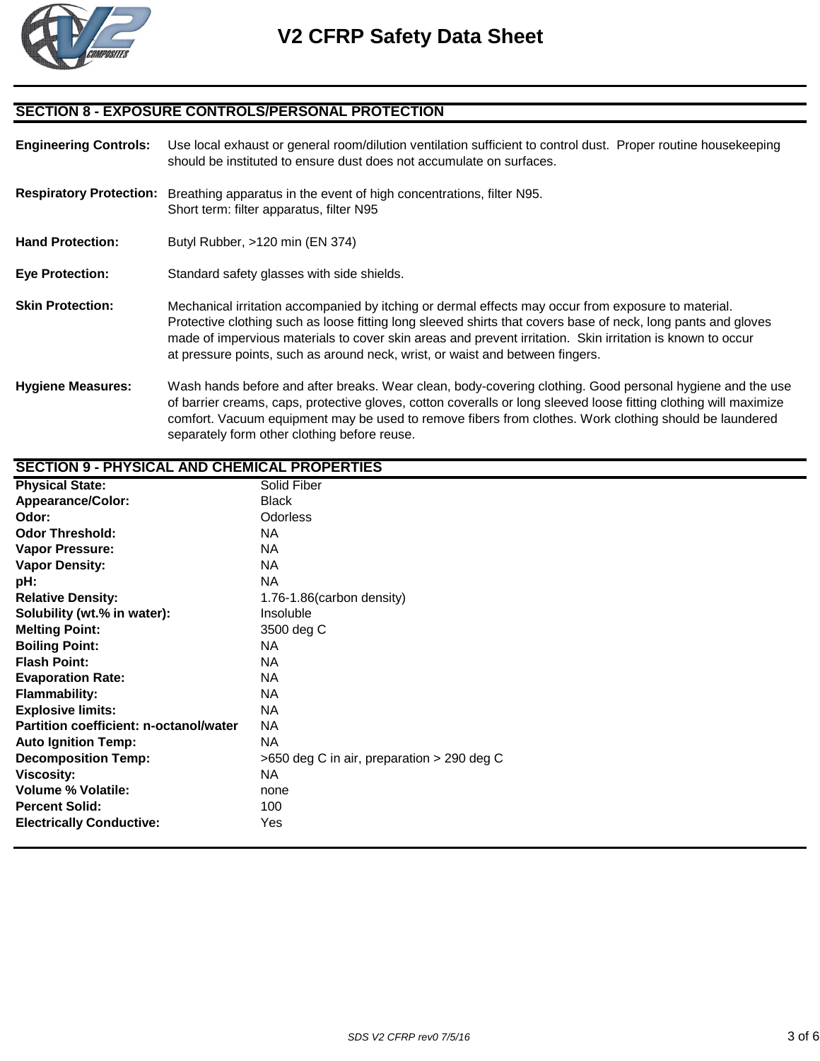

#### **SECTION 8 - EXPOSURE CONTROLS/PERSONAL PROTECTION**

**Engineering Controls:** Use local exhaust or general room/dilution ventilation sufficient to control dust. Proper routine housekeeping should be instituted to ensure dust does not accumulate on surfaces. **Respiratory Protection:** Breathing apparatus in the event of high concentrations, filter N95. Short term: filter apparatus, filter N95 Hand Protection: Butyl Rubber, >120 min (EN 374) **Eye Protection:** Standard safety glasses with side shields. **Skin Protection:** Mechanical irritation accompanied by itching or dermal effects may occur from exposure to material. Protective clothing such as loose fitting long sleeved shirts that covers base of neck, long pants and gloves made of impervious materials to cover skin areas and prevent irritation. Skin irritation is known to occur at pressure points, such as around neck, wrist, or waist and between fingers.

**Hygiene Measures:** Wash hands before and after breaks. Wear clean, body-covering clothing. Good personal hygiene and the use of barrier creams, caps, protective gloves, cotton coveralls or long sleeved loose fitting clothing will maximize comfort. Vacuum equipment may be used to remove fibers from clothes. Work clothing should be laundered separately form other clothing before reuse.

| <b>SECTION 9 - PHYSICAL AND CHEMICAL PROPERTIES</b> |                                               |  |  |
|-----------------------------------------------------|-----------------------------------------------|--|--|
| <b>Physical State:</b>                              | Solid Fiber                                   |  |  |
| <b>Appearance/Color:</b>                            | <b>Black</b>                                  |  |  |
| Odor:                                               | <b>Odorless</b>                               |  |  |
| <b>Odor Threshold:</b>                              | <b>NA</b>                                     |  |  |
| <b>Vapor Pressure:</b>                              | <b>NA</b>                                     |  |  |
| <b>Vapor Density:</b>                               | <b>NA</b>                                     |  |  |
| pH:                                                 | <b>NA</b>                                     |  |  |
| <b>Relative Density:</b>                            | 1.76-1.86(carbon density)                     |  |  |
| Solubility (wt.% in water):                         | Insoluble                                     |  |  |
| <b>Melting Point:</b>                               | 3500 deg C                                    |  |  |
| <b>Boiling Point:</b>                               | <b>NA</b>                                     |  |  |
| <b>Flash Point:</b>                                 | NA.                                           |  |  |
| <b>Evaporation Rate:</b>                            | NA.                                           |  |  |
| <b>Flammability:</b>                                | <b>NA</b>                                     |  |  |
| <b>Explosive limits:</b>                            | NA.                                           |  |  |
| Partition coefficient: n-octanol/water              | <b>NA</b>                                     |  |  |
| <b>Auto Ignition Temp:</b>                          | <b>NA</b>                                     |  |  |
| <b>Decomposition Temp:</b>                          | $>650$ deg C in air, preparation $>290$ deg C |  |  |
| <b>Viscosity:</b>                                   | <b>NA</b>                                     |  |  |
| <b>Volume % Volatile:</b>                           | none                                          |  |  |
| <b>Percent Solid:</b>                               | 100                                           |  |  |
| <b>Electrically Conductive:</b>                     | Yes                                           |  |  |
|                                                     |                                               |  |  |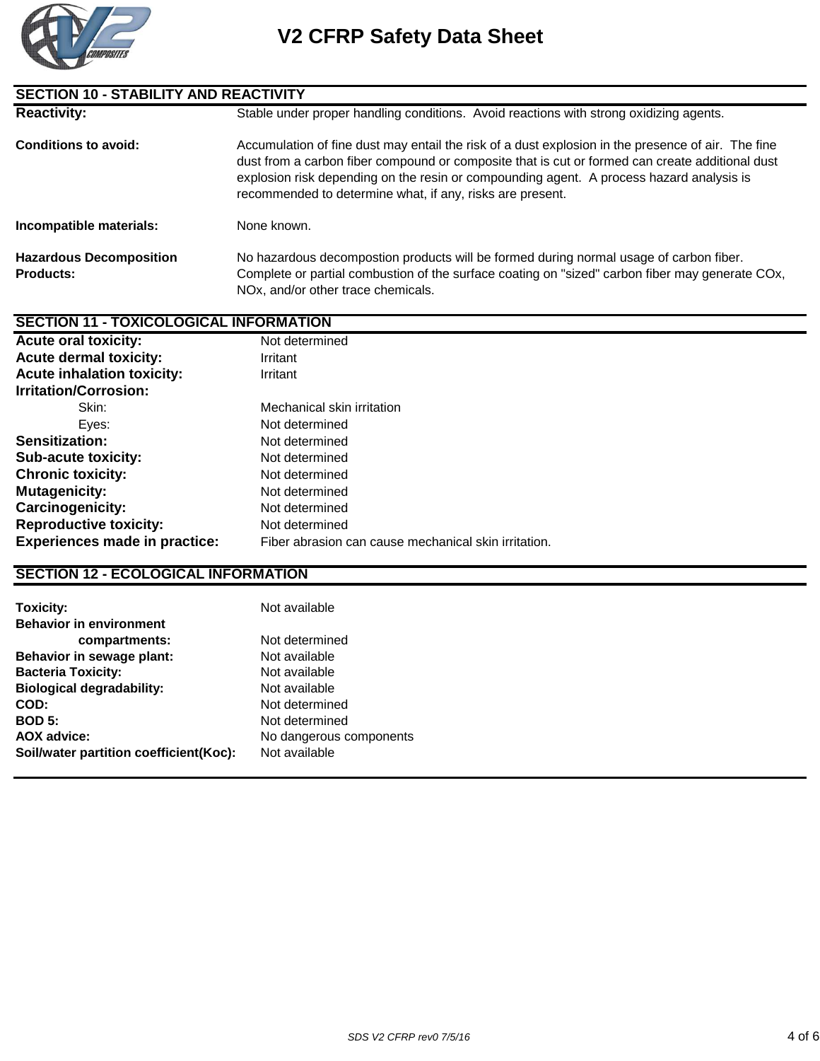

| <b>SECTION 10 - STABILITY AND REACTIVITY</b>       |                                                                                                                                                                                                                                                                                                                                                                |  |
|----------------------------------------------------|----------------------------------------------------------------------------------------------------------------------------------------------------------------------------------------------------------------------------------------------------------------------------------------------------------------------------------------------------------------|--|
| <b>Reactivity:</b>                                 | Stable under proper handling conditions. Avoid reactions with strong oxidizing agents.                                                                                                                                                                                                                                                                         |  |
| <b>Conditions to avoid:</b>                        | Accumulation of fine dust may entail the risk of a dust explosion in the presence of air. The fine<br>dust from a carbon fiber compound or composite that is cut or formed can create additional dust<br>explosion risk depending on the resin or compounding agent. A process hazard analysis is<br>recommended to determine what, if any, risks are present. |  |
| Incompatible materials:                            | None known.                                                                                                                                                                                                                                                                                                                                                    |  |
| <b>Hazardous Decomposition</b><br><b>Products:</b> | No hazardous decompostion products will be formed during normal usage of carbon fiber.<br>Complete or partial combustion of the surface coating on "sized" carbon fiber may generate COx,<br>NOx, and/or other trace chemicals.                                                                                                                                |  |

## **SECTION 11 - TOXICOLOGICAL INFORMATION**

| <b>Acute oral toxicity:</b>          | Not determined                                       |
|--------------------------------------|------------------------------------------------------|
| <b>Acute dermal toxicity:</b>        | Irritant                                             |
| <b>Acute inhalation toxicity:</b>    | Irritant                                             |
| <b>Irritation/Corrosion:</b>         |                                                      |
| Skin:                                | Mechanical skin irritation                           |
| Eves:                                | Not determined                                       |
| Sensitization:                       | Not determined                                       |
| <b>Sub-acute toxicity:</b>           | Not determined                                       |
| <b>Chronic toxicity:</b>             | Not determined                                       |
| <b>Mutagenicity:</b>                 | Not determined                                       |
| <b>Carcinogenicity:</b>              | Not determined                                       |
| <b>Reproductive toxicity:</b>        | Not determined                                       |
| <b>Experiences made in practice:</b> | Fiber abrasion can cause mechanical skin irritation. |
|                                      |                                                      |

## **SECTION 12 - ECOLOGICAL INFORMATION**

| Toxicity:                              | Not available           |
|----------------------------------------|-------------------------|
| <b>Behavior in environment</b>         |                         |
| compartments:                          | Not determined          |
| Behavior in sewage plant:              | Not available           |
| <b>Bacteria Toxicity:</b>              | Not available           |
| <b>Biological degradability:</b>       | Not available           |
| COD:                                   | Not determined          |
| <b>BOD 5:</b>                          | Not determined          |
| <b>AOX advice:</b>                     | No dangerous components |
| Soil/water partition coefficient(Koc): | Not available           |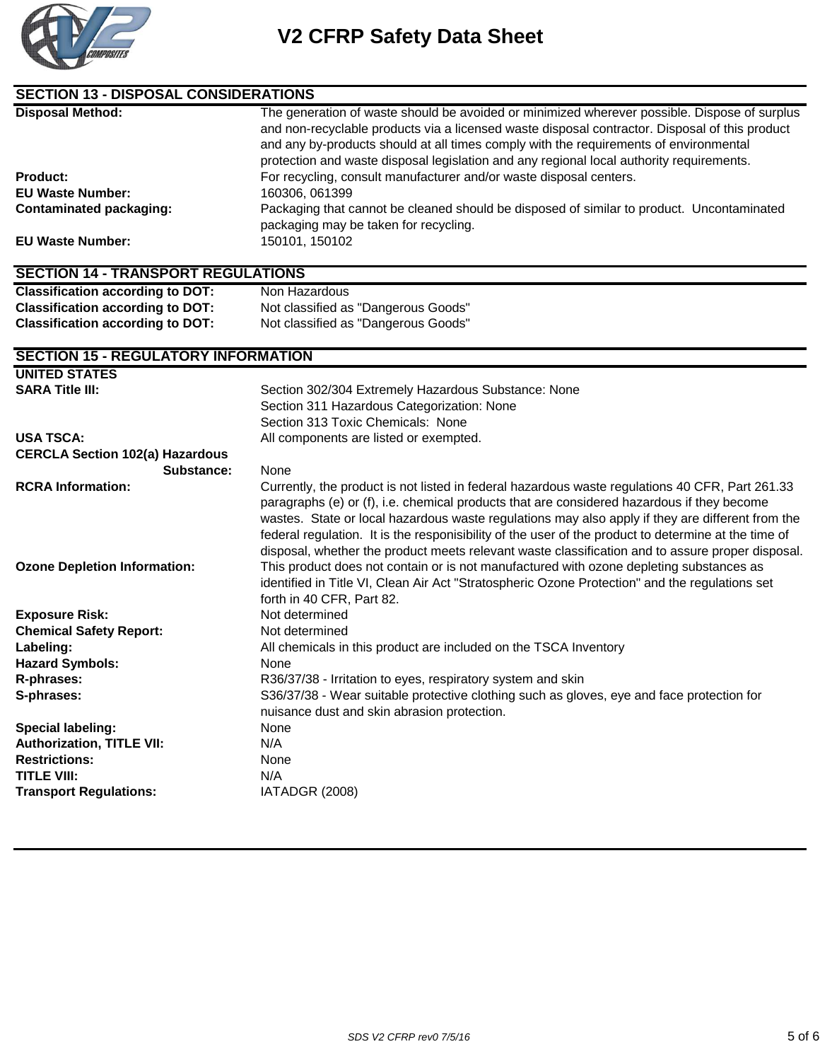

| <b>SECTION 13 - DISPOSAL CONSIDERATIONS</b> |                                                                                                                                                                                                                                                                                                                                                                                                                                                                                                               |  |
|---------------------------------------------|---------------------------------------------------------------------------------------------------------------------------------------------------------------------------------------------------------------------------------------------------------------------------------------------------------------------------------------------------------------------------------------------------------------------------------------------------------------------------------------------------------------|--|
| <b>Disposal Method:</b>                     | The generation of waste should be avoided or minimized wherever possible. Dispose of surplus<br>and non-recyclable products via a licensed waste disposal contractor. Disposal of this product<br>and any by-products should at all times comply with the requirements of environmental<br>protection and waste disposal legislation and any regional local authority requirements.                                                                                                                           |  |
| <b>Product:</b>                             | For recycling, consult manufacturer and/or waste disposal centers.                                                                                                                                                                                                                                                                                                                                                                                                                                            |  |
| <b>EU Waste Number:</b>                     | 160306, 061399                                                                                                                                                                                                                                                                                                                                                                                                                                                                                                |  |
| <b>Contaminated packaging:</b>              | Packaging that cannot be cleaned should be disposed of similar to product. Uncontaminated<br>packaging may be taken for recycling.                                                                                                                                                                                                                                                                                                                                                                            |  |
| <b>EU Waste Number:</b>                     | 150101, 150102                                                                                                                                                                                                                                                                                                                                                                                                                                                                                                |  |
| <b>SECTION 14 - TRANSPORT REGULATIONS</b>   |                                                                                                                                                                                                                                                                                                                                                                                                                                                                                                               |  |
| <b>Classification according to DOT:</b>     | Non Hazardous                                                                                                                                                                                                                                                                                                                                                                                                                                                                                                 |  |
| <b>Classification according to DOT:</b>     | Not classified as "Dangerous Goods"                                                                                                                                                                                                                                                                                                                                                                                                                                                                           |  |
| <b>Classification according to DOT:</b>     | Not classified as "Dangerous Goods"                                                                                                                                                                                                                                                                                                                                                                                                                                                                           |  |
| <b>SECTION 15 - REGULATORY INFORMATION</b>  |                                                                                                                                                                                                                                                                                                                                                                                                                                                                                                               |  |
| <b>UNITED STATES</b>                        |                                                                                                                                                                                                                                                                                                                                                                                                                                                                                                               |  |
| <b>SARA Title III:</b>                      | Section 302/304 Extremely Hazardous Substance: None                                                                                                                                                                                                                                                                                                                                                                                                                                                           |  |
|                                             | Section 311 Hazardous Categorization: None                                                                                                                                                                                                                                                                                                                                                                                                                                                                    |  |
|                                             | Section 313 Toxic Chemicals: None                                                                                                                                                                                                                                                                                                                                                                                                                                                                             |  |
| <b>USA TSCA:</b>                            | All components are listed or exempted.                                                                                                                                                                                                                                                                                                                                                                                                                                                                        |  |
| <b>CERCLA Section 102(a) Hazardous</b>      |                                                                                                                                                                                                                                                                                                                                                                                                                                                                                                               |  |
| Substance:                                  | None                                                                                                                                                                                                                                                                                                                                                                                                                                                                                                          |  |
| <b>RCRA Information:</b>                    | Currently, the product is not listed in federal hazardous waste regulations 40 CFR, Part 261.33<br>paragraphs (e) or (f), i.e. chemical products that are considered hazardous if they become<br>wastes. State or local hazardous waste regulations may also apply if they are different from the<br>federal regulation. It is the responisibility of the user of the product to determine at the time of<br>disposal, whether the product meets relevant waste classification and to assure proper disposal. |  |
| <b>Ozone Depletion Information:</b>         | This product does not contain or is not manufactured with ozone depleting substances as<br>identified in Title VI, Clean Air Act "Stratospheric Ozone Protection" and the regulations set<br>forth in 40 CFR, Part 82.                                                                                                                                                                                                                                                                                        |  |
| <b>Exposure Risk:</b>                       | Not determined                                                                                                                                                                                                                                                                                                                                                                                                                                                                                                |  |
| <b>Chemical Safety Report:</b>              | Not determined                                                                                                                                                                                                                                                                                                                                                                                                                                                                                                |  |
| Labeling:                                   | All chemicals in this product are included on the TSCA Inventory                                                                                                                                                                                                                                                                                                                                                                                                                                              |  |
| <b>Hazard Symbols:</b>                      | None                                                                                                                                                                                                                                                                                                                                                                                                                                                                                                          |  |
| R-phrases:                                  | R36/37/38 - Irritation to eyes, respiratory system and skin                                                                                                                                                                                                                                                                                                                                                                                                                                                   |  |
| S-phrases:                                  | S36/37/38 - Wear suitable protective clothing such as gloves, eye and face protection for<br>nuisance dust and skin abrasion protection.                                                                                                                                                                                                                                                                                                                                                                      |  |
| Special labeling:                           | None                                                                                                                                                                                                                                                                                                                                                                                                                                                                                                          |  |
| <b>Authorization, TITLE VII:</b>            | N/A                                                                                                                                                                                                                                                                                                                                                                                                                                                                                                           |  |
| <b>Restrictions:</b>                        | None                                                                                                                                                                                                                                                                                                                                                                                                                                                                                                          |  |
| <b>TITLE VIII:</b>                          | N/A                                                                                                                                                                                                                                                                                                                                                                                                                                                                                                           |  |
| <b>Transport Regulations:</b>               | IATADGR (2008)                                                                                                                                                                                                                                                                                                                                                                                                                                                                                                |  |